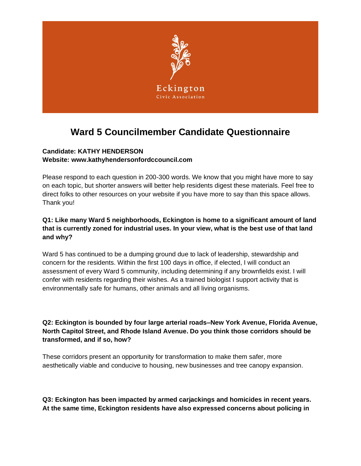

# **Ward 5 Councilmember Candidate Questionnaire**

#### **Candidate: KATHY HENDERSON Website: www.kathyhendersonfordccouncil.com**

Please respond to each question in 200-300 words. We know that you might have more to say on each topic, but shorter answers will better help residents digest these materials. Feel free to direct folks to other resources on your website if you have more to say than this space allows. Thank you!

## **Q1: Like many Ward 5 neighborhoods, Eckington is home to a significant amount of land that is currently zoned for industrial uses. In your view, what is the best use of that land and why?**

Ward 5 has continued to be a dumping ground due to lack of leadership, stewardship and concern for the residents. Within the first 100 days in office, if elected, I will conduct an assessment of every Ward 5 community, including determining if any brownfields exist. I will confer with residents regarding their wishes. As a trained biologist I support activity that is environmentally safe for humans, other animals and all living organisms.

## **Q2: Eckington is bounded by four large arterial roads–New York Avenue, Florida Avenue, North Capitol Street, and Rhode Island Avenue. Do you think those corridors should be transformed, and if so, how?**

These corridors present an opportunity for transformation to make them safer, more aesthetically viable and conducive to housing, new businesses and tree canopy expansion.

**Q3: Eckington has been impacted by armed carjackings and homicides in recent years. At the same time, Eckington residents have also expressed concerns about policing in**